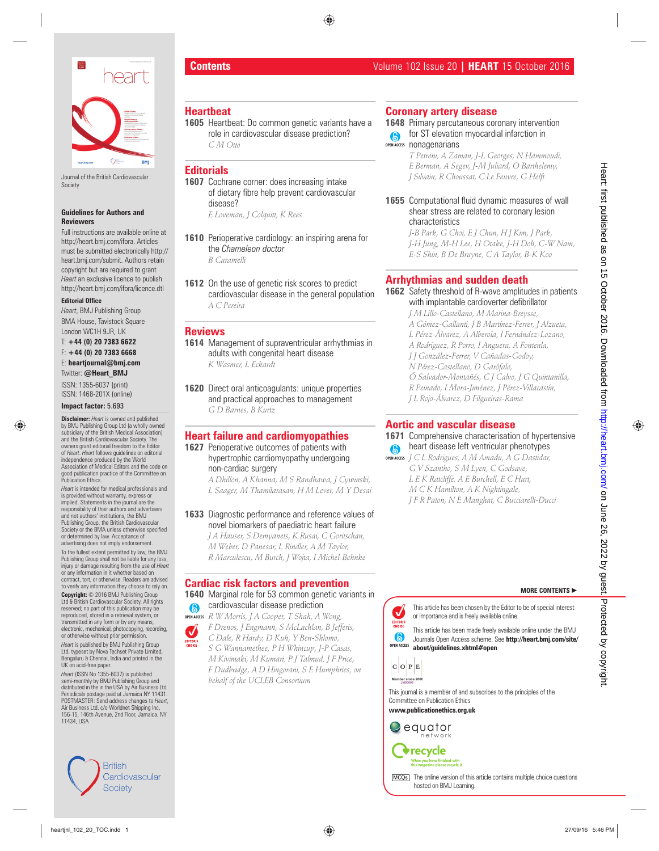

Journal of the British Cardiovascular **Society** 

#### **Guidelines for Authors and Reviewers**

Full instructions are available online at http://heart.bmj.com/ifora. Articles must be submitted electronically http:// heart.bmj.com/submit. Authors retain copyright but are required to grant *Heart* an exclusive licence to publish http://heart.bmj.com/ifora/licence.dtl

#### **Editorial Office**

*Heart*, BMJ Publishing Group BMA House, Tavistock Square London WC1H 9JR, UK

T: **+44 (0) 20 7383 6622** F: **+44 (0) 20 7383 6668** E: **heartjournal@bmj.com** Twitter: **@Heart\_BMJ** ISSN: 1355-6037 (print)

ISSN: 1468-201X (online)

#### **Impact factor:** 5.693

**Disclaimer:** *Heart* is owned and published by BMJ Publishing Group Ltd (a wholly owned subsidiary of the British Medical Association) and the British Cardiovascular Society. The owners grant editorial freedom to the Editor of *Heart*. *Heart* follows guidelines on editorial independence produced by the World Association of Medical Editors and the code on good publication practice of the Committee on Publication Ethics.

*Heart* is intended for medical professionals and is provided without warranty, express or implied. Statements in the journal are the responsibility of their authors and advertisers and not authors' institutions, the BMJ Publishing Group, the British Cardiovascular Society or the BMA unless otherwise specified or determined by law. Acceptance of advertising does not imply endorsement.

To the fullest extent permitted by law, the BMJ Publishing Group shall not be liable for any loss, injury or damage resulting from the use of *Heart*  or any information in it whether based on contract, tort, or otherwise. Readers are advised to verify any information they choose to rely on.

**Copyright:** © 2016 BMJ Publishing Group Ltd & British Cardiovascular Society. All rights reserved; no part of this publication may be reproduced, stored in a retrieval system, or transmitted in any form or by any means electronic, mechanical, photocopying, recording, or otherwise without prior permission.

*Heart* is published by BMJ Publishing Group Ltd, typeset by Nova Techset Private Limited, Bengaluru & Chennai, India and printed in the UK on acid-free paper.

*Heart* (ISSN No 1355-6037) is published semi-monthly by BMJ Publishing Group and distributed in the in the USA by Air Business Ltd. Periodicals postage paid at Jamaica NY 11431. POSTMASTER: Send address changes to *Heart*, Air Business Ltd, c/o Worldnet Shipping Inc, 156-15, 146th Avenue, 2nd Floor, Jamaica, NY 11434, USA



## **Heartbeat**

**1605** Heartbeat: Do common genetic variants have a role in cardiovascular disease prediction? *C M Otto*

#### **Editorial s**

 **1607** Cochrane corner: does increasing intake of dietary fibre help prevent cardiovascular disease?  *E Loveman, J Colquitt, K Rees* 

- **1610** Perioperative cardiology: an inspiring arena for the *Chameleon doctor B Caramelli*
- **1612** On the use of genetic risk scores to predict cardiovascular disease in the general population  *A C Pereira*

#### **Review s**

 **1614** Management of supraventricular arrhythmias in adults with congenital heart disease  *K Wasmer, L Eckardt* 

**1620** Direct oral anticoagulants: unique properties and practical approaches to management  *G D Barnes, B Kurtz* 

#### **Heart failure and cardiomyopathies**

**1627** Perioperative outcomes of patients with hypertrophic cardiomyopathy undergoing non-cardiac surgery

 *A Dhillon, A Khanna, M S Randhawa, J Cywinski, L Saager, M Thamilarasan, H M Lever, M Y Desai* 

#### **1633** Diagnostic performance and reference values of novel biomarkers of paediatric heart failure

 *J A Hauser, S Demyanets, K Rusai, C Goritschan, M Weber, D Panesar, L Rindler, A M Taylor, R Marculescu, M Burch, J Wojta, I Michel-Behnke* 

#### **Cardiac risk factors and prevention**

#### **1640** Marginal role for 53 common genetic variants in cardiovascular disease prediction

- *R W Morris, J A Cooper, T Shah, A Wong,*  **OPEN ACCESS**
	- *F Drenos, J Engmann, S McLachlan, B Jefferis, C Dale, R Hardy, D Kuh, Y Ben-Shlomo, S G Wannamethee, P H Whincup, J-P Casas, M Kivimaki, M Kumari, P J Talmud, J F Price, F Dudbridge, A D Hingorani, S E Humphries, on behalf of the UCLEB Consortium*

#### **Coronary artery disease**

#### **1648** Primary percutaneous coronary intervention for ST elevation myocardial infarction in  $\bullet$

**OPEN ACCESS** nonagenarians

 *T Petroni, A Zaman, J-L Georges, N Hammoudi, E Berman, A Segev, J-M Juliard, O Barthelemy, J Silvain, R Choussat, C Le Feuvre, G Helft* 

**1655** Computational fluid dynamic measures of wall shear stress are related to coronary lesion characteristics

 *J-B Park, G Choi, E J Chun, H J Kim, J Park, J-H Jung, M-H Lee, H Otake, J-H Doh, C-W Nam, E-S Shin, B De Bruyne, C A Taylor, B-K Koo* 

#### **Arrhythmias and sudden death**

**1662** Safety threshold of R-wave amplitudes in patients with implantable cardioverter defibrillator

 *J M Lillo-Castellano, M Marina-Breysse, A Gómez-Gallanti, J B Martínez-Ferrer, J Alzueta, L Pérez-Álvarez, A Alberola, I Fernández-Lozano, A Rodríguez, R Porro, I Anguera, A Fontenla, J J González-Ferrer, V Cañadas-Godoy, N Pérez-Castellano, D Garófalo, Ó Salvador-Montañés, C J Calvo, J G Quintanilla, R Peinado, I Mora-Jiménez, J Pérez-Villacastín, J L Rojo-Álvarez, D Filgueiras-Rama*  heart is a computer of the state of the state of the state of the state of the state of the state of the state of the state of the state of the state of the state of the state of the state of the state of the state of the

## **Aortic and vascular disease**

#### **1671** Comprehensive characterisation of hypertensive heart disease left ventricular phenotypes

*J C L Rodrigues, A M Amadu, A G Dastidar,*  **OPEN ACCESS** *G V Szantho, S M Lyen, C Godsave, L E K Ratcliffe, A E Burchell, E C Hart, M C K Hamilton, A K Nightingale, J F R Paton, N E Manghat, C Bucciarelli-Ducci*

**MORE CONTENTS** -

This article has been chosen by the Editor to be of special interest or importance and is freely available online.

**OPEN ACCESS** This article has been made freely available online under the BMJ Journals Open Access scheme. See **http://heart.bmj.com/site/ about/guidelines.xhtml#open**

This journal is a member of and subscribes to the principles of the Committee on Publication Ethics

**www.publicationethics.org.uk**





MCO<sub>s</sub> The online version of this article contains multiple choice questions hosted on BMJ Learning.